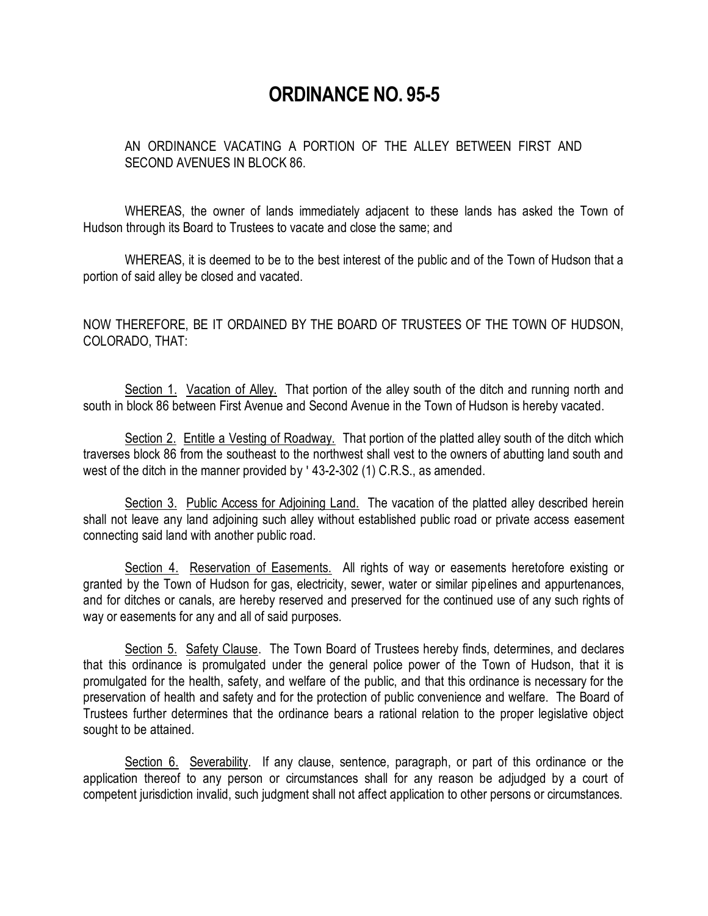## **ORDINANCE NO. 95-5**

AN ORDINANCE VACATING A PORTION OF THE ALLEY BETWEEN FIRST AND SECOND AVENUES IN BLOCK 86.

WHEREAS, the owner of lands immediately adjacent to these lands has asked the Town of Hudson through its Board to Trustees to vacate and close the same; and

WHEREAS, it is deemed to be to the best interest of the public and of the Town of Hudson that a portion of said alley be closed and vacated.

NOW THEREFORE, BE IT ORDAINED BY THE BOARD OF TRUSTEES OF THE TOWN OF HUDSON, COLORADO, THAT:

Section 1. Vacation of Alley. That portion of the alley south of the ditch and running north and south in block 86 between First Avenue and Second Avenue in the Town of Hudson is hereby vacated.

Section 2. Entitle a Vesting of Roadway. That portion of the platted alley south of the ditch which traverses block 86 from the southeast to the northwest shall vest to the owners of abutting land south and west of the ditch in the manner provided by ' 43-2-302 (1) C.R.S., as amended.

Section 3. Public Access for Adjoining Land. The vacation of the platted alley described herein shall not leave any land adjoining such alley without established public road or private access easement connecting said land with another public road.

Section 4. Reservation of Easements. All rights of way or easements heretofore existing or granted by the Town of Hudson for gas, electricity, sewer, water or similar pipelines and appurtenances, and for ditches or canals, are hereby reserved and preserved for the continued use of any such rights of way or easements for any and all of said purposes.

Section 5. Safety Clause. The Town Board of Trustees hereby finds, determines, and declares that this ordinance is promulgated under the general police power of the Town of Hudson, that it is promulgated for the health, safety, and welfare of the public, and that this ordinance is necessary for the preservation of health and safety and for the protection of public convenience and welfare. The Board of Trustees further determines that the ordinance bears a rational relation to the proper legislative object sought to be attained.

Section 6. Severability. If any clause, sentence, paragraph, or part of this ordinance or the application thereof to any person or circumstances shall for any reason be adjudged by a court of competent jurisdiction invalid, such judgment shall not affect application to other persons or circumstances.